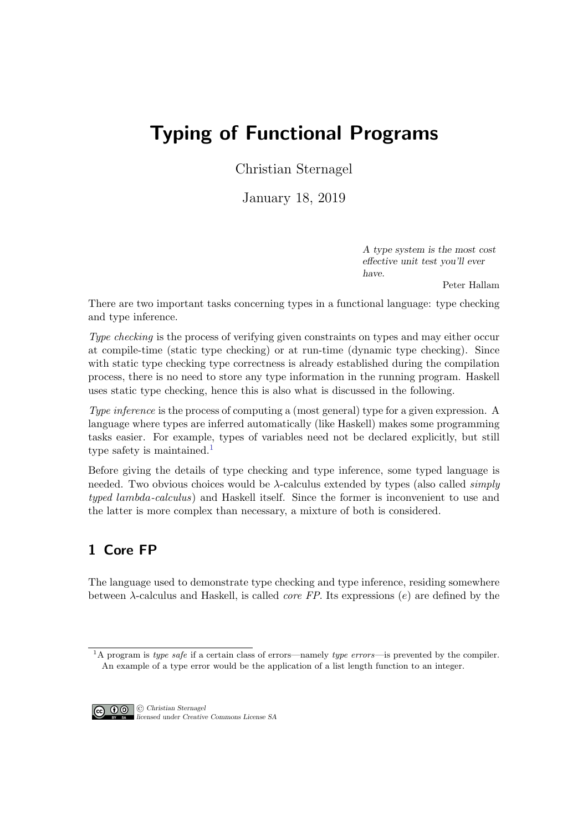# Typing of Functional Programs

Christian Sternagel

January 18, 2019

A type system is the most cost effective unit test you'll ever have.

Peter Hallam

There are two important tasks concerning types in a functional language: type checking and type inference.

Type checking is the process of verifying given constraints on types and may either occur at compile-time (static type checking) or at run-time (dynamic type checking). Since with static type checking type correctness is already established during the compilation process, there is no need to store any type information in the running program. Haskell uses static type checking, hence this is also what is discussed in the following.

Type inference is the process of computing a (most general) type for a given expression. A language where types are inferred automatically (like Haskell) makes some programming tasks easier. For example, types of variables need not be declared explicitly, but still type safety is maintained.<sup>[1](#page-0-0)</sup>

Before giving the details of type checking and type inference, some typed language is needed. Two obvious choices would be  $\lambda$ -calculus extended by types (also called *simply* typed lambda-calculus) and Haskell itself. Since the former is inconvenient to use and the latter is more complex than necessary, a mixture of both is considered.

# 1 Core FP

The language used to demonstrate type checking and type inference, residing somewhere between  $\lambda$ -calculus and Haskell, is called *core FP*. Its expressions (e) are defined by the

<span id="page-0-0"></span><sup>&</sup>lt;sup>1</sup>A program is type safe if a certain class of errors—namely type errors—is prevented by the compiler. An example of a type error would be the application of a list length function to an integer.



CC **C** C Christian Sternagel licensed under Creative Commons License SA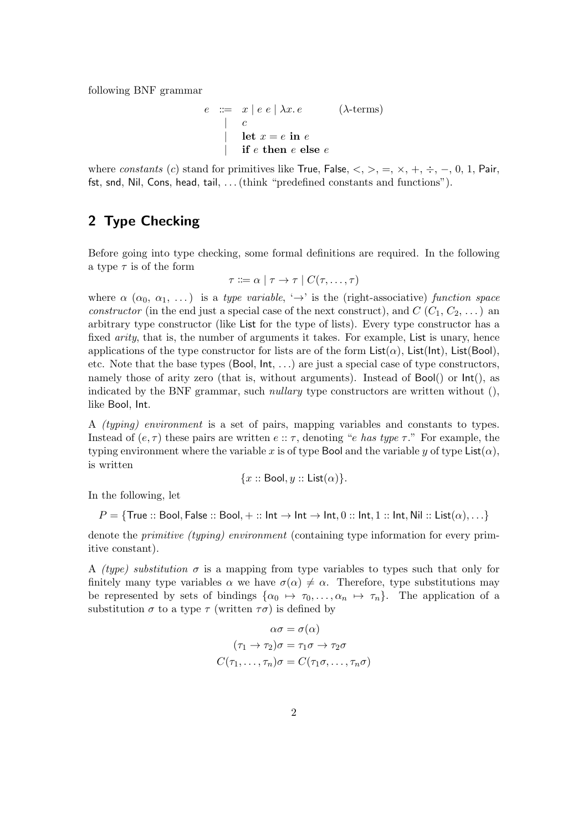following BNF grammar

$$
e \quad := \quad x \mid e \mid e \mid \lambda x. e \quad (\lambda \text{-terms})
$$
\n
$$
\mid c
$$
\n
$$
\mid \text{let } x = e \text{ in } e
$$
\n
$$
\mid \text{if } e \text{ then } e \text{ else } e
$$

where constants (c) stand for primitives like True, False,  $\langle , \rangle$ ,  $=$ ,  $\times$ ,  $+$ ,  $\div$ ,  $-$ , 0, 1, Pair, fst, snd, Nil, Cons, head, tail, . . . (think "predefined constants and functions").

# 2 Type Checking

Before going into type checking, some formal definitions are required. In the following a type  $\tau$  is of the form

$$
\tau ::= \alpha \mid \tau \to \tau \mid C(\tau, \ldots, \tau)
$$

where  $\alpha$  ( $\alpha_0, \alpha_1, \ldots$ ) is a type variable,  $\rightarrow$  is the (right-associative) function space constructor (in the end just a special case of the next construct), and  $C(C_1, C_2, \ldots)$  and arbitrary type constructor (like List for the type of lists). Every type constructor has a fixed *arity*, that is, the number of arguments it takes. For example, List is unary, hence applications of the type constructor for lists are of the form  $List(\alpha)$ ,  $List(Int)$ ,  $List(Bool)$ , etc. Note that the base types (Bool,  $Int, \ldots$ ) are just a special case of type constructors, namely those of arity zero (that is, without arguments). Instead of Bool() or Int(), as indicated by the BNF grammar, such *nullary* type constructors are written without  $()$ , like Bool, Int.

A (typing) environment is a set of pairs, mapping variables and constants to types. Instead of  $(e, \tau)$  these pairs are written  $e :: \tau$ , denoting "e has type  $\tau$ ." For example, the typing environment where the variable x is of type Bool and the variable y of type List $(\alpha)$ , is written

$$
{x::\text{Bool}, y::\text{List}(\alpha)}.
$$

In the following, let

$$
P = \{\text{True} :: \text{Bool}, \text{False} :: \text{Bool}, + :: \text{Int} \to \text{Int} \to \text{Int}, 0 :: \text{Int}, 1 :: \text{Int}, \text{Nil} :: \text{List}(\alpha), \ldots\}
$$

denote the *primitive (typing)* environment (containing type information for every primitive constant).

A *(type)* substitution  $\sigma$  is a mapping from type variables to types such that only for finitely many type variables  $\alpha$  we have  $\sigma(\alpha) \neq \alpha$ . Therefore, type substitutions may be represented by sets of bindings  $\{\alpha_0 \mapsto \tau_0, \ldots, \alpha_n \mapsto \tau_n\}$ . The application of a substitution  $\sigma$  to a type  $\tau$  (written  $\tau\sigma$ ) is defined by

$$
\alpha \sigma = \sigma(\alpha)
$$

$$
(\tau_1 \to \tau_2)\sigma = \tau_1 \sigma \to \tau_2 \sigma
$$

$$
C(\tau_1, \dots, \tau_n)\sigma = C(\tau_1 \sigma, \dots, \tau_n \sigma)
$$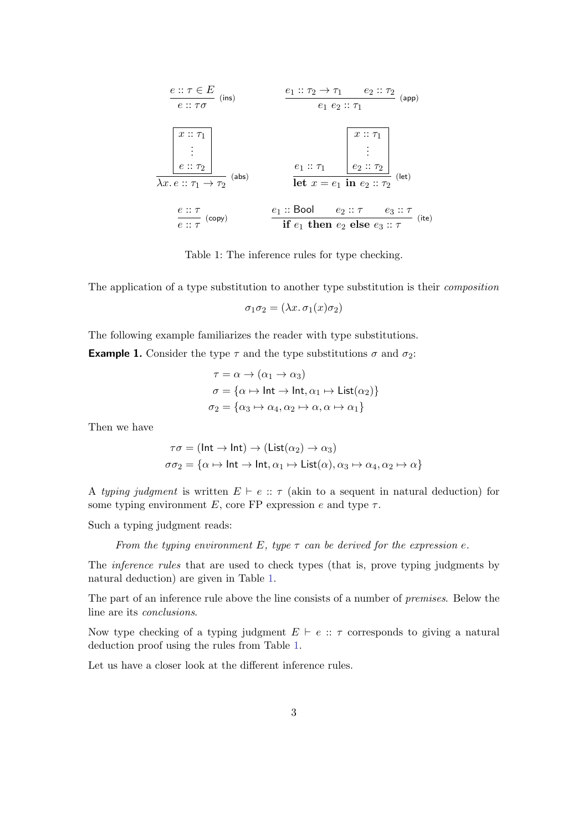$$
\begin{array}{c}\n\text{e:: } \tau \in E \\
\hline\ne :: \tau \sigma \quad \text{(ins)} \\
\hline\n\text{e:: } \tau \sigma\n\end{array}\n\qquad\n\begin{array}{c}\n\text{e}_{1} :: \tau_{2} \rightarrow \tau_{1} \quad e_{2} :: \tau_{2} \\
\hline\ne_{1} e_{2} :: \tau_{1} \\
\hline\n\text{e:: } \tau_{1}\n\end{array}\n\qquad\n\begin{array}{c}\n\text{(app)} \\
\hline\n\text{e:: } \tau_{2} \\
\hline\n\text{e:: } \tau_{2}\n\end{array}\n\qquad\n\begin{array}{c}\n\text{(abs)} \\
\hline\n\text{e:: } \tau_{1} \\
\hline\n\text{e:: } \tau_{2} \\
\hline\n\text{e:: } \tau_{2}\n\end{array}\n\qquad\n\begin{array}{c}\n\text{(lab)} \\
\hline\n\text{e:: } \tau_{1} \\
\hline\n\text{e:: } \tau_{2} \\
\hline\n\text{e:: } \tau_{2}\n\end{array}\n\qquad\n\begin{array}{c}\n\text{(lab)} \\
\hline\n\text{e:: } \tau_{1} \\
\hline\n\text{e:: } \tau_{2} \\
\hline\n\text{e:: } \tau_{2}\n\end{array}\n\qquad\n\begin{array}{c}\n\text{(lab)} \\
\hline\n\text{e:: } \tau_{1} \\
\hline\n\text{e:: } \tau_{2} \\
\hline\n\text{f}: \tau_{1} \\
\hline\n\text{f}: \tau_{1}\n\end{array}\n\qquad\n\begin{array}{c}\n\text{(lab)} \\
\hline\n\text{e}_{2} :: \tau_{2} \\
\hline\n\text{f}: \tau_{2} \\
\hline\n\text{f}: \tau_{1}\n\end{array}\n\qquad\n\begin{array}{c}\n\text{(lab)} \\
\hline\n\text{f}: \tau_{1} \\
\hline\n\text{f}: \tau_{1} \\
\hline\n\text{f}: \tau_{2} \\
\hline\n\end{array}\n\qquad\n\begin{array}{c}\n\text{(lab)} \\
\hline\n\text{f}: \tau_{2} \\
\hline\n\text{f}: \tau_{1} \\
\hline\n\end{array}\n\qquad\n\begin{array}{c}\n\text{(lab)} \\
\hline\n\end{array}
$$

<span id="page-2-0"></span>Table 1: The inference rules for type checking.

The application of a type substitution to another type substitution is their composition

 $\sigma_1 \sigma_2 = (\lambda x. \sigma_1(x) \sigma_2)$ 

The following example familiarizes the reader with type substitutions.

<span id="page-2-1"></span>**Example 1.** Consider the type  $\tau$  and the type substitutions  $\sigma$  and  $\sigma_2$ :

$$
\tau = \alpha \to (\alpha_1 \to \alpha_3)
$$
  
\n
$$
\sigma = {\alpha \to \text{Int} \to \text{Int}, \alpha_1 \to \text{List}(\alpha_2)}
$$
  
\n
$$
\sigma_2 = {\alpha_3 \to \alpha_4, \alpha_2 \to \alpha, \alpha \to \alpha_1}
$$

Then we have

$$
\tau\sigma = (\text{Int} \to \text{Int}) \to (\text{List}(\alpha_2) \to \alpha_3)
$$
  

$$
\sigma\sigma_2 = \{\alpha \mapsto \text{Int} \to \text{Int}, \alpha_1 \mapsto \text{List}(\alpha), \alpha_3 \mapsto \alpha_4, \alpha_2 \mapsto \alpha\}
$$

A typing judgment is written  $E \vdash e :: \tau$  (akin to a sequent in natural deduction) for some typing environment E, core FP expression  $e$  and type  $\tau$ .

Such a typing judgment reads:

From the typing environment E, type  $\tau$  can be derived for the expression e.

The inference rules that are used to check types (that is, prove typing judgments by natural deduction) are given in Table [1.](#page-2-0)

The part of an inference rule above the line consists of a number of premises. Below the line are its conclusions.

Now type checking of a typing judgment  $E \vdash e :: \tau$  corresponds to giving a natural deduction proof using the rules from Table [1.](#page-2-0)

Let us have a closer look at the different inference rules.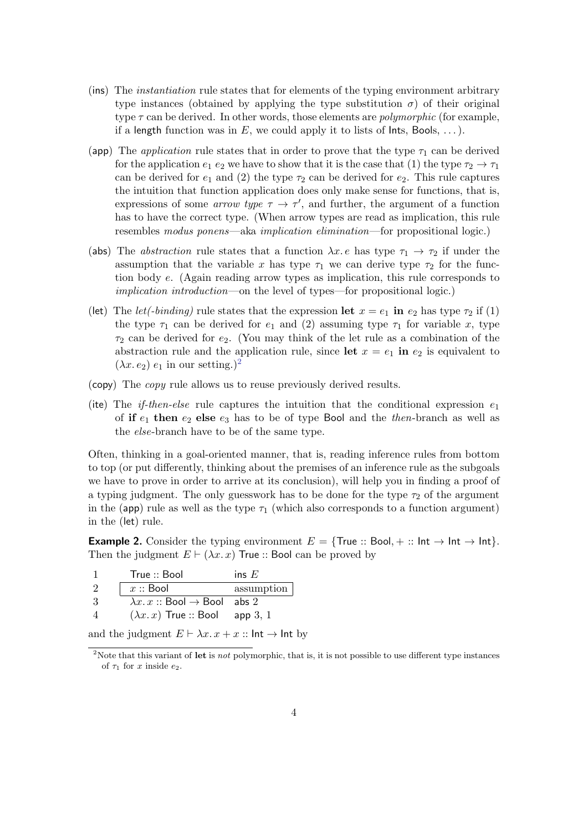- (ins) The instantiation rule states that for elements of the typing environment arbitrary type instances (obtained by applying the type substitution  $\sigma$ ) of their original type  $\tau$  can be derived. In other words, those elements are *polymorphic* (for example, if a length function was in E, we could apply it to lists of lnts, Bools, ...).
- (app) The *application* rule states that in order to prove that the type  $\tau_1$  can be derived for the application  $e_1 e_2$  we have to show that it is the case that (1) the type  $\tau_2 \to \tau_1$ can be derived for  $e_1$  and (2) the type  $\tau_2$  can be derived for  $e_2$ . This rule captures the intuition that function application does only make sense for functions, that is, expressions of some *arrow type*  $\tau \to \tau'$ , and further, the argument of a function has to have the correct type. (When arrow types are read as implication, this rule resembles modus ponens—aka implication elimination—for propositional logic.)
- (abs) The *abstraction* rule states that a function  $\lambda x \cdot e$  has type  $\tau_1 \to \tau_2$  if under the assumption that the variable x has type  $\tau_1$  we can derive type  $\tau_2$  for the function body e. (Again reading arrow types as implication, this rule corresponds to implication introduction—on the level of types—for propositional logic.)
- (let) The *let*(-binding) rule states that the expression let  $x = e_1$  in  $e_2$  has type  $\tau_2$  if (1) the type  $\tau_1$  can be derived for  $e_1$  and (2) assuming type  $\tau_1$  for variable x, type  $\tau_2$  can be derived for  $e_2$ . (You may think of the let rule as a combination of the abstraction rule and the application rule, since let  $x = e_1$  in  $e_2$  is equivalent to  $(\lambda x.\, e_2)\, e_1$  $(\lambda x.\, e_2)\, e_1$  $(\lambda x.\, e_2)\, e_1$  in our setting.)<sup>2</sup>
- (copy) The copy rule allows us to reuse previously derived results.
- (ite) The *if-then-else* rule captures the intuition that the conditional expression  $e_1$ of if  $e_1$  then  $e_2$  else  $e_3$  has to be of type Bool and the then-branch as well as the else-branch have to be of the same type.

Often, thinking in a goal-oriented manner, that is, reading inference rules from bottom to top (or put differently, thinking about the premises of an inference rule as the subgoals we have to prove in order to arrive at its conclusion), will help you in finding a proof of a typing judgment. The only guesswork has to be done for the type  $\tau_2$  of the argument in the (app) rule as well as the type  $\tau_1$  (which also corresponds to a function argument) in the (let) rule.

**Example 2.** Consider the typing environment  $E = \{True :: Bool, + :: Int \rightarrow Int \}$ . Then the judgment  $E \vdash (\lambda x. x)$  True :: Bool can be proved by

| True :: Bool                                    | ins $E$             |
|-------------------------------------------------|---------------------|
| $x::$ Bool                                      | $\alpha$ assumption |
| $\lambda x. x ::$ Bool $\rightarrow$ Bool abs 2 |                     |
| $(\lambda x. x)$ True :: Bool                   | app 3, 1            |

and the judgment  $E \vdash \lambda x \cdot x + x :: \mathsf{Int} \rightarrow \mathsf{Int}$  by

<span id="page-3-0"></span><sup>&</sup>lt;sup>2</sup>Note that this variant of let is *not* polymorphic, that is, it is not possible to use different type instances of  $\tau_1$  for x inside  $e_2$ .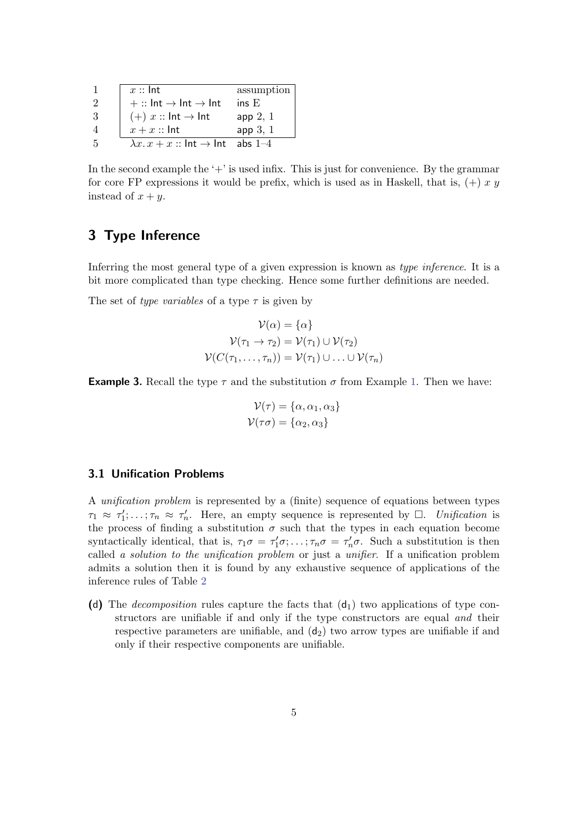|    | $x::$ Int                                                | assumption |
|----|----------------------------------------------------------|------------|
| 2  | $+::$ Int $\rightarrow$ Int $\rightarrow$ Int            | insE       |
| -3 | $(+) x :: \text{Int} \rightarrow \text{Int}$             | app 2, 1   |
|    | $x + x ::$ Int                                           | app 3, 1   |
| -5 | $\lambda x \cdot x + x ::$ Int $\rightarrow$ Int abs 1-4 |            |

In the second example the  $+$  is used infix. This is just for convenience. By the grammar for core FP expressions it would be prefix, which is used as in Haskell, that is,  $(+) x y$ instead of  $x + y$ .

### 3 Type Inference

Inferring the most general type of a given expression is known as type inference. It is a bit more complicated than type checking. Hence some further definitions are needed.

The set of type variables of a type  $\tau$  is given by

$$
\mathcal{V}(\alpha) = \{\alpha\}
$$

$$
\mathcal{V}(\tau_1 \to \tau_2) = \mathcal{V}(\tau_1) \cup \mathcal{V}(\tau_2)
$$

$$
\mathcal{V}(C(\tau_1, \dots, \tau_n)) = \mathcal{V}(\tau_1) \cup \dots \cup \mathcal{V}(\tau_n)
$$

**Example 3.** Recall the type  $\tau$  and the substitution  $\sigma$  from Example [1.](#page-2-1) Then we have:

$$
\mathcal{V}(\tau) = \{\alpha, \alpha_1, \alpha_3\}
$$

$$
\mathcal{V}(\tau \sigma) = \{\alpha_2, \alpha_3\}
$$

#### 3.1 Unification Problems

A unification problem is represented by a (finite) sequence of equations between types  $\tau_1 \approx \tau_1'; \ldots; \tau_n \approx \tau_n'.$  Here, an empty sequence is represented by  $\Box$ . Unification is the process of finding a substitution  $\sigma$  such that the types in each equation become syntactically identical, that is,  $\tau_1\sigma = \tau'_1\sigma; \ldots; \tau_n\sigma = \tau'_n\sigma$ . Such a substitution is then called a solution to the unification problem or just a unifier. If a unification problem admits a solution then it is found by any exhaustive sequence of applications of the inference rules of Table [2](#page-5-0)

(d) The *decomposition* rules capture the facts that  $(d_1)$  two applications of type constructors are unifiable if and only if the type constructors are equal and their respective parameters are unifiable, and  $(d_2)$  two arrow types are unifiable if and only if their respective components are unifiable.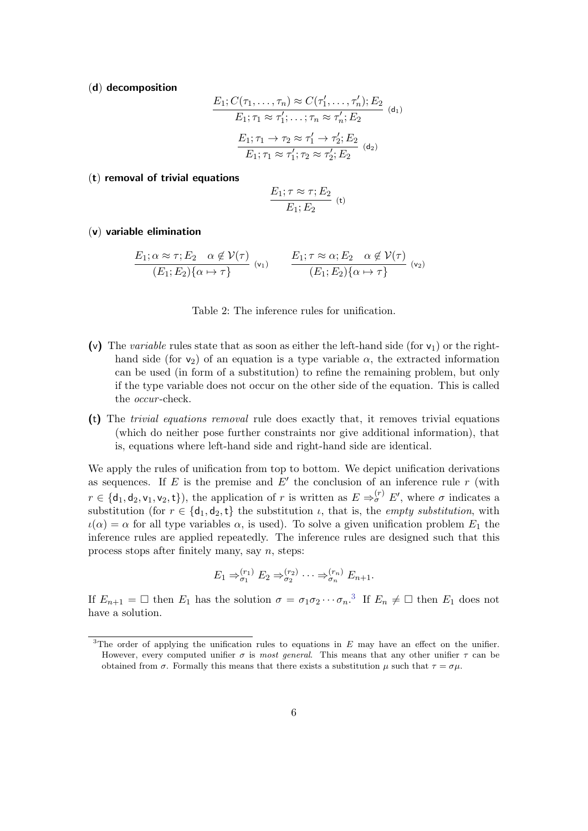(d) decomposition

$$
E_1; C(\tau_1, \ldots, \tau_n) \approx C(\tau'_1, \ldots, \tau'_n); E_2
$$
  
\n
$$
E_1; \tau_1 \approx \tau'_1; \ldots; \tau_n \approx \tau'_n; E_2
$$
  
\n
$$
E_1; \tau_1 \to \tau_2 \approx \tau'_1 \to \tau'_2; E_2
$$
  
\n
$$
E_1; \tau_1 \approx \tau'_1; \tau_2 \approx \tau'_2; E_2
$$
  
\n
$$
(d_2)
$$

#### (t) removal of trivial equations

$$
\frac{E_1; \tau \approx \tau; E_2}{E_1; E_2} \quad (t)
$$

#### (v) variable elimination

$$
\frac{E_1; \alpha \approx \tau; E_2 \quad \alpha \notin \mathcal{V}(\tau)}{(E_1; E_2) \{\alpha \mapsto \tau\}} \quad (v_1) \qquad \frac{E_1; \tau \approx \alpha; E_2 \quad \alpha \notin \mathcal{V}(\tau)}{(E_1; E_2) \{\alpha \mapsto \tau\}} \quad (v_2)
$$

<span id="page-5-0"></span>Table 2: The inference rules for unification.

- (v) The variable rules state that as soon as either the left-hand side (for  $v_1$ ) or the righthand side (for  $v_2$ ) of an equation is a type variable  $\alpha$ , the extracted information can be used (in form of a substitution) to refine the remaining problem, but only if the type variable does not occur on the other side of the equation. This is called the *occur*-check.
- (t) The trivial equations removal rule does exactly that, it removes trivial equations (which do neither pose further constraints nor give additional information), that is, equations where left-hand side and right-hand side are identical.

We apply the rules of unification from top to bottom. We depict unification derivations as sequences. If E is the premise and  $E'$  the conclusion of an inference rule r (with  $r \in \{\mathsf{d}_1,\mathsf{d}_2,\mathsf{v}_1,\mathsf{v}_2,\mathsf{t}\}\)$ , the application of r is written as  $E \Rightarrow_{\sigma}^{(r)} E'$ , where  $\sigma$  indicates a substitution (for  $r \in \{d_1, d_2, t\}$  the substitution  $\iota$ , that is, the *empty substitution*, with  $\iota(\alpha) = \alpha$  for all type variables  $\alpha$ , is used). To solve a given unification problem  $E_1$  the inference rules are applied repeatedly. The inference rules are designed such that this process stops after finitely many, say  $n$ , steps:

$$
E_1 \Rightarrow_{\sigma_1}^{(r_1)} E_2 \Rightarrow_{\sigma_2}^{(r_2)} \cdots \Rightarrow_{\sigma_n}^{(r_n)} E_{n+1}.
$$

If  $E_{n+1} = \Box$  then  $E_1$  has the solution  $\sigma = \sigma_1 \sigma_2 \cdots \sigma_n$ <sup>[3](#page-5-1)</sup>. If  $E_n \neq \Box$  then  $E_1$  does not have a solution.

<span id="page-5-1"></span><sup>&</sup>lt;sup>3</sup>The order of applying the unification rules to equations in  $E$  may have an effect on the unifier. However, every computed unifier  $\sigma$  is most general. This means that any other unifier  $\tau$  can be obtained from  $\sigma$ . Formally this means that there exists a substitution  $\mu$  such that  $\tau = \sigma \mu$ .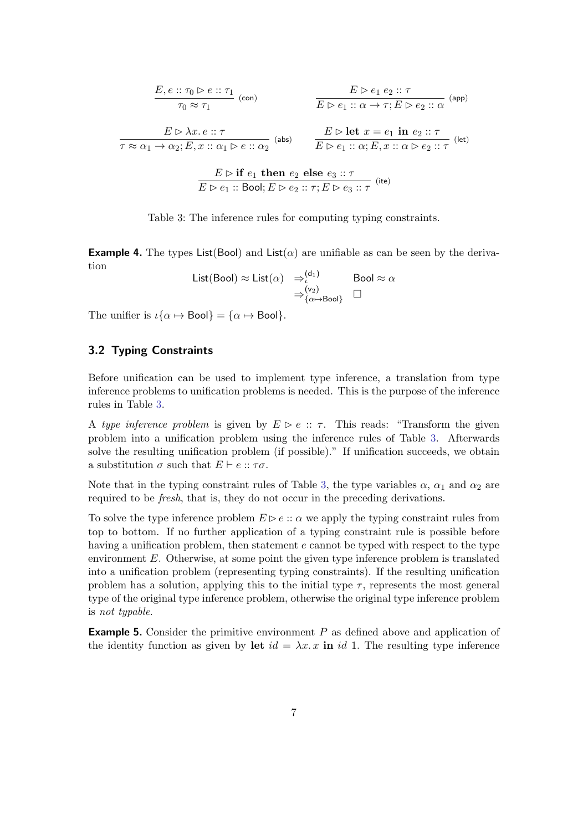$$
\frac{E, e :: \tau_0 \triangleright e :: \tau_1}{\tau_0 \approx \tau_1} \text{ (con)} \qquad \qquad \frac{E \triangleright e_1 e_2 :: \tau}{E \triangleright e_1 :: \alpha \to \tau; E \triangleright e_2 :: \alpha} \text{ (app)}
$$
\n
$$
\frac{E \triangleright \lambda x. e :: \tau}{\tau \approx \alpha_1 \to \alpha_2; E, x :: \alpha_1 \triangleright e :: \alpha_2} \text{ (abs)} \qquad \frac{E \triangleright \text{let } x = e_1 \text{ in } e_2 :: \tau}{E \triangleright e_1 :: \alpha; E, x :: \alpha \triangleright e_2 :: \tau} \text{ (let)}
$$

<span id="page-6-0"></span>
$$
\frac{E \rhd \textbf{if } e_1 \textbf{ then } e_2 \textbf{ else } e_3 :: \tau}{E \rhd e_1 :: \textbf{Bool}; E \rhd e_2 :: \tau; E \rhd e_3 :: \tau} \text{ (ite) }
$$

Table 3: The inference rules for computing typing constraints.

**Example 4.** The types List(Bool) and List( $\alpha$ ) are unifiable as can be seen by the derivation

List(Bool) 
$$
\approx
$$
 List( $\alpha$ )  $\Rightarrow_{t}^{(d_1)}$ Bool  $\approx \alpha$   
 $\Rightarrow_{\{\alpha \mapsto \text{Bool}\}}^{(v_2)} \square$ 

The unifier is  $\iota{\alpha \mapsto \text{Bool}} = {\alpha \mapsto \text{Bool}}$ .

#### 3.2 Typing Constraints

Before unification can be used to implement type inference, a translation from type inference problems to unification problems is needed. This is the purpose of the inference rules in Table [3.](#page-6-0)

A type inference problem is given by  $E \triangleright e :: \tau$ . This reads: "Transform the given problem into a unification problem using the inference rules of Table [3.](#page-6-0) Afterwards solve the resulting unification problem (if possible)." If unification succeeds, we obtain a substitution  $\sigma$  such that  $E \vdash e :: \tau \sigma$ .

Note that in the typing constraint rules of Table [3,](#page-6-0) the type variables  $\alpha$ ,  $\alpha_1$  and  $\alpha_2$  are required to be fresh, that is, they do not occur in the preceding derivations.

To solve the type inference problem  $E \triangleright e :: \alpha$  we apply the typing constraint rules from top to bottom. If no further application of a typing constraint rule is possible before having a unification problem, then statement e cannot be typed with respect to the type environment  $E$ . Otherwise, at some point the given type inference problem is translated into a unification problem (representing typing constraints). If the resulting unification problem has a solution, applying this to the initial type  $\tau$ , represents the most general type of the original type inference problem, otherwise the original type inference problem is not typable.

**Example 5.** Consider the primitive environment  $P$  as defined above and application of the identity function as given by let  $id = \lambda x \cdot x$  in id 1. The resulting type inference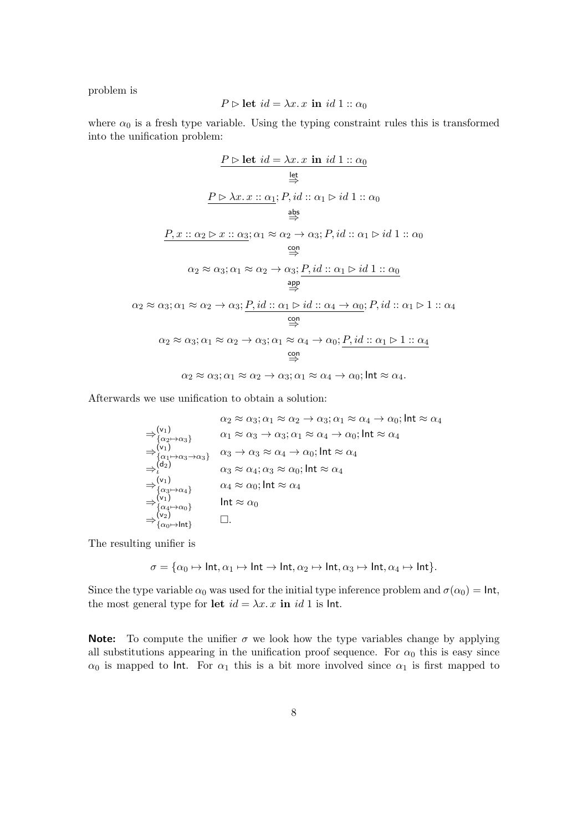problem is

$$
P \triangleright \text{let } id = \lambda x. x \text{ in } id 1 :: \alpha_0
$$

where  $\alpha_0$  is a fresh type variable. Using the typing constraint rules this is transformed into the unification problem:

$$
\frac{P \rhd \text{let } id = \lambda x. \ x \text{ in } id \ 1 :: \alpha_0}{\Leftrightarrow}
$$
\n
$$
\xrightarrow{\text{let}}
$$
\n
$$
\xrightarrow{\text{let}}
$$
\n
$$
\xrightarrow{\text{let}}
$$
\n
$$
\xrightarrow{\text{let}}
$$
\n
$$
\xrightarrow{\text{let}}
$$
\n
$$
\xrightarrow{\text{let}}
$$
\n
$$
\xrightarrow{\text{let}}
$$
\n
$$
\xrightarrow{\text{let}}
$$
\n
$$
\xrightarrow{\text{let}}
$$
\n
$$
\xrightarrow{\text{let}}
$$
\n
$$
\xrightarrow{\text{let}}
$$
\n
$$
\xrightarrow{\text{let}}
$$
\n
$$
\xrightarrow{\text{let}}
$$
\n
$$
\xrightarrow{\text{let}}
$$
\n
$$
\xrightarrow{\text{let}}
$$
\n
$$
\xrightarrow{\text{let}}
$$
\n
$$
\xrightarrow{\text{let}}
$$
\n
$$
\xrightarrow{\text{let}}
$$
\n
$$
\xrightarrow{\text{let}}
$$
\n
$$
\xrightarrow{\text{let}}
$$
\n
$$
\xrightarrow{\text{let}}
$$
\n
$$
\xrightarrow{\text{let}}
$$
\n
$$
\xrightarrow{\text{let}}
$$
\n
$$
\xrightarrow{\text{let}}
$$
\n
$$
\xrightarrow{\text{let}}
$$
\n
$$
\xrightarrow{\text{let}}
$$
\n
$$
\xrightarrow{\text{let}}
$$
\n
$$
\xrightarrow{\text{let}}
$$
\n
$$
\xrightarrow{\text{let}}
$$
\n
$$
\xrightarrow{\text{let}}
$$
\n
$$
\xrightarrow{\text{let}}
$$
\n
$$
\xrightarrow{\text{let}}
$$
\n
$$
\xrightarrow{\text{let}}
$$
\n
$$
\xrightarrow{\text{let}}
$$
\n
$$
\xrightarrow{\text{let}}
$$
\n
$$
\xrightarrow{\text{let}}
$$
\n
$$
\xrightarrow{\text{let}}
$$
\n
$$
\xrightarrow{\text{let}}
$$
\n
$$
\xrightarrow{\text{let}}
$$
\n
$$
\xrightarrow{\text{let}}
$$
\n
$$
\xrightarrow{\text{let}}
$$
\n
$$
\xrightarrow{\text{let}}
$$
\n
$$
\xrightarrow{\text{let}}
$$
\n
$$
\xrightarrow{\text{let}}
$$
\n
$$
\xrightarrow{\text{let
$$

Afterwards we use unification to obtain a solution:

$$
\alpha_2 \approx \alpha_3; \alpha_1 \approx \alpha_2 \rightarrow \alpha_3; \alpha_1 \approx \alpha_4 \rightarrow \alpha_0; \text{Int} \approx \alpha_4
$$
  
\n
$$
\Rightarrow {\alpha_1 \atop {\alpha_2 \mapsto \alpha_3}} {\alpha_1 \approx \alpha_3 \rightarrow \alpha_3; \alpha_1 \approx \alpha_4 \rightarrow \alpha_0; \text{Int} \approx \alpha_4
$$
  
\n
$$
\Rightarrow {\alpha_1 \atop {\alpha_1 \mapsto \alpha_3 \rightarrow \alpha_3}} {\alpha_3 \rightarrow \alpha_3 \approx \alpha_4 \rightarrow \alpha_0; \text{Int} \approx \alpha_4}
$$
  
\n
$$
\Rightarrow {\alpha_1 \atop {\alpha_1 \mapsto \alpha_3 \rightarrow \alpha_3}} {\alpha_3 \rightarrow \alpha_3 \approx \alpha_4 \rightarrow \alpha_0; \text{Int} \approx \alpha_4}
$$
  
\n
$$
\Rightarrow {\alpha_1 \atop {\alpha_2 \mapsto \alpha_1}} {\alpha_3 \approx \alpha_4; \alpha_3 \approx \alpha_0; \text{Int} \approx \alpha_4}
$$
  
\n
$$
\Rightarrow {\alpha_1 \atop {\alpha_2 \mapsto \alpha_1}} {\alpha_3 \approx \alpha_4; \alpha_3 \approx \alpha_0; \text{Int} \approx \alpha_4}
$$
  
\n
$$
\Rightarrow {\alpha_1 \atop {\alpha_2 \mapsto \alpha_1}} {\alpha_1 \atop {\alpha_2 \mapsto \alpha_0}} {\alpha_1 \atop {\alpha_3 \mapsto \alpha_1}} {\alpha_2 \atop {\alpha_3 \mapsto \alpha_0}} {\alpha_3 \atop {\alpha_4 \mapsto \alpha_0}} {\alpha_1 \atop {\alpha_2 \mapsto \alpha_1}} {\alpha_2 \atop {\alpha_3 \mapsto \alpha_1}} {\alpha_3 \atop {\alpha_4 \mapsto \alpha_0}} {\alpha_1 \atop {\alpha_2 \mapsto \alpha_1}} {\alpha_2 \atop {\alpha_3 \mapsto \alpha_1}} {\alpha_3 \atop {\alpha_4 \mapsto \alpha_0}} {\alpha_1 \atop {\alpha_2 \mapsto \alpha_1}} {\alpha_2 \atop {\alpha_3 \mapsto \alpha_1}} {\alpha_3 \atop {\alpha_4 \mapsto \alpha_0}} {\alpha_3 \atop {\alpha_4 \mapsto \alpha_0}} {\alpha_1 \atop {\alpha_1 \mapsto \alpha_1}} {\alpha_2 \atop {\alpha_2 \mapsto \alpha_1}} {\alpha_3 \atop {\alpha_3 \mapsto \alpha_
$$

The resulting unifier is

$$
\sigma = \{\alpha_0 \mapsto \mathsf{Int}, \alpha_1 \mapsto \mathsf{Int} \to \mathsf{Int}, \alpha_2 \mapsto \mathsf{Int}, \alpha_3 \mapsto \mathsf{Int}, \alpha_4 \mapsto \mathsf{Int}\}.
$$

Since the type variable  $\alpha_0$  was used for the initial type inference problem and  $\sigma(\alpha_0) = \text{Int}$ , the most general type for let  $id = \lambda x$ . x in id 1 is lnt.

**Note:** To compute the unifier  $\sigma$  we look how the type variables change by applying all substitutions appearing in the unification proof sequence. For  $\alpha_0$  this is easy since  $\alpha_0$  is mapped to lnt. For  $\alpha_1$  this is a bit more involved since  $\alpha_1$  is first mapped to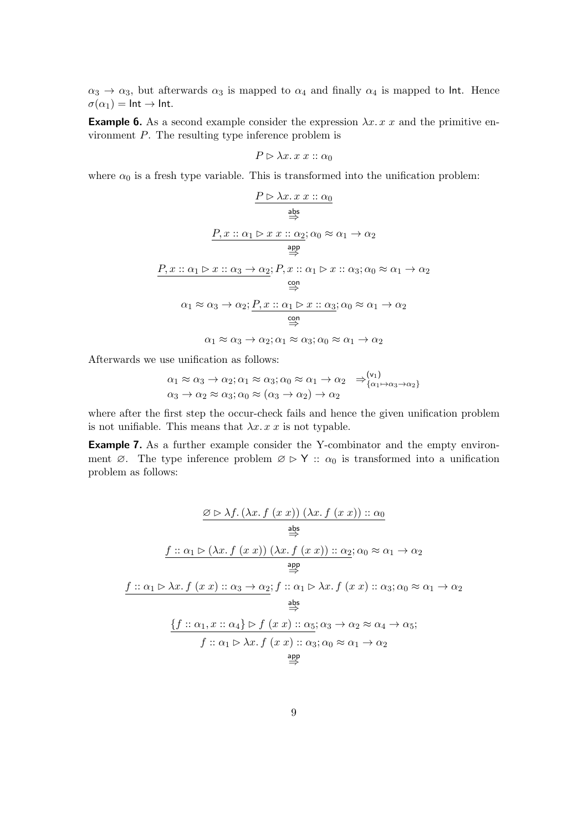$\alpha_3 \to \alpha_3$ , but afterwards  $\alpha_3$  is mapped to  $\alpha_4$  and finally  $\alpha_4$  is mapped to lnt. Hence  $\sigma(\alpha_1) = \text{Int} \rightarrow \text{Int}.$ 

**Example 6.** As a second example consider the expression  $\lambda x. x x$  and the primitive environment  $P$ . The resulting type inference problem is

$$
P \rhd \lambda x. x x :: \alpha_0
$$

where  $\alpha_0$  is a fresh type variable. This is transformed into the unification problem:

$$
\frac{P \rhd \lambda x. x x :: \alpha_0}{\frac{\text{abs}}{\Rightarrow}}
$$
\n
$$
\frac{P, x :: \alpha_1 \rhd x x :: \alpha_2; \alpha_0 \approx \alpha_1 \rightarrow \alpha_2}{\frac{\text{app}}{\Rightarrow}}
$$
\n
$$
\frac{P, x :: \alpha_1 \rhd x :: \alpha_3 \rightarrow \alpha_2; P, x :: \alpha_1 \rhd x :: \alpha_3; \alpha_0 \approx \alpha_1 \rightarrow \alpha_2}{\frac{\text{con}}{\Rightarrow}}
$$
\n
$$
\alpha_1 \approx \alpha_3 \rightarrow \alpha_2; \frac{P, x :: \alpha_1 \rhd x :: \alpha_3; \alpha_0 \approx \alpha_1 \rightarrow \alpha_2}{\frac{\text{con}}{\Rightarrow}}
$$
\n
$$
\alpha_1 \approx \alpha_3 \rightarrow \alpha_2; \alpha_1 \approx \alpha_3; \alpha_0 \approx \alpha_1 \rightarrow \alpha_2
$$

Afterwards we use unification as follows:

$$
\alpha_1 \approx \alpha_3 \to \alpha_2; \alpha_1 \approx \alpha_3; \alpha_0 \approx \alpha_1 \to \alpha_2 \Rightarrow^{\text{(v_1)}}_{\{\alpha_1 \to \alpha_3 \to \alpha_2\}} \alpha_3 \to \alpha_2 \approx \alpha_3; \alpha_0 \approx (\alpha_3 \to \alpha_2) \to \alpha_2
$$

where after the first step the occur-check fails and hence the given unification problem is not unifiable. This means that  $\lambda x. x x$  is not typable.

Example 7. As a further example consider the Y-combinator and the empty environment  $\varnothing$ . The type inference problem  $\varnothing \triangleright Y$  ::  $\alpha_0$  is transformed into a unification problem as follows:

$$
\frac{\varnothing \rhd \lambda f.(\lambda x. f (x x)) (\lambda x. f (x x)) :: \alpha_0}{\frac{\text{abs}}{\Rightarrow}}
$$
\n
$$
\frac{f :: \alpha_1 \rhd (\lambda x. f (x x)) (\lambda x. f (x x)) :: \alpha_2; \alpha_0 \approx \alpha_1 \rightarrow \alpha_2}{\frac{\text{app}}{\Rightarrow}}
$$
\n
$$
\frac{f :: \alpha_1 \rhd \lambda x. f (x x) :: \alpha_3 \rightarrow \alpha_2; f :: \alpha_1 \rhd \lambda x. f (x x) :: \alpha_3; \alpha_0 \approx \alpha_1 \rightarrow \alpha_2}{\frac{\text{abs}}{\Rightarrow}}
$$
\n
$$
\frac{\{f :: \alpha_1, x :: \alpha_4\} \rhd f (x x) :: \alpha_5; \alpha_3 \rightarrow \alpha_2 \approx \alpha_4 \rightarrow \alpha_5; f :: \alpha_1 \rhd \lambda x. f (x x) :: \alpha_3; \alpha_0 \approx \alpha_1 \rightarrow \alpha_2}{\frac{\text{app}}{\Rightarrow}}
$$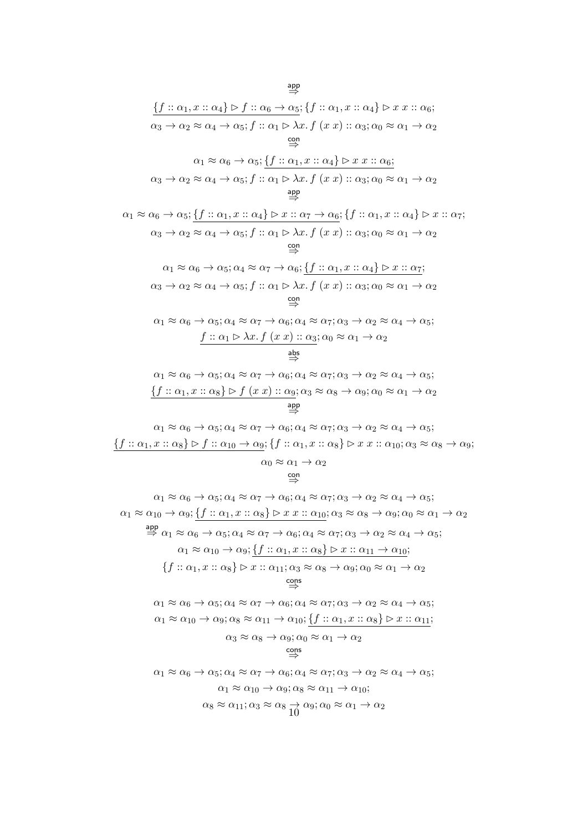$$
\{\underline{f}::\alpha_1, x::\alpha_4\} \triangleright \underline{f}::\alpha_6 \rightarrow \alpha_5; \{\underline{f}::\alpha_1, x::\alpha_4\} \triangleright x \ x :: \alpha_6; \alpha_3 \rightarrow \alpha_2 \approx \alpha_4 \rightarrow \alpha_5; \ \underline{f}::\alpha_1 \triangleright \lambda x. \ f \ (x \ x) :: \alpha_3; \alpha_0 \approx \alpha_1 \rightarrow \alpha_2 \}
$$
\n
$$
\xrightarrow{\text{con}}
$$
\n
$$
\alpha_1 \approx \alpha_6 \rightarrow \alpha_5; \{\underline{f}::\alpha_1, x::\alpha_4\} \triangleright x \ x :: \alpha_6; \alpha_3 \rightarrow \alpha_2 \approx \alpha_4 \rightarrow \alpha_5; \ \underline{f}::\alpha_1 \triangleright \lambda x. \ f \ (x \ x) :: \alpha_3; \alpha_0 \approx \alpha_1 \rightarrow \alpha_2 \}
$$
\n
$$
\xrightarrow{\text{app}}
$$
\n
$$
\alpha_1 \approx \alpha_6 \rightarrow \alpha_5; \{\underline{f}::\alpha_1, x::\alpha_4\} \triangleright x :: \alpha_7 \rightarrow \alpha_6; \{\underline{f}::\alpha_1, x::\alpha_4\} \triangleright x :: \alpha_7 \}
$$
\n
$$
\xrightarrow{\text{app}}
$$
\n
$$
\alpha_1 \approx \alpha_6 \rightarrow \alpha_5; \ \underline{f}::\alpha_1, x::\alpha_4\} \triangleright x :: \alpha_7 \rightarrow \alpha_6; \ \{\underline{f}::\alpha_1, x::\alpha_4\} \triangleright x :: \alpha_7 \}
$$
\n
$$
\xrightarrow{\text{cop}}
$$
\n
$$
\alpha_1 \approx \alpha_6 \rightarrow \alpha_5; \alpha_4 \approx \alpha_7 \rightarrow \alpha_6; \ \{\underline{f}::\alpha_1, x::\alpha_4\} \triangleright x :: \alpha_7 \}
$$
\n
$$
\xrightarrow{\text{cop}}
$$
\n
$$
\alpha_1 \approx \alpha_6 \rightarrow \alpha_5; \alpha_4 \approx \alpha_7 \rightarrow \alpha_6; \ \{\underline{f}::\alpha_1, x::\alpha_4\} \triangleright x :: \alpha_7 \}
$$
\n
$$
\xrightarrow{\text{cop}}
$$
\n
$$
\alpha_1 \approx \alpha_6 \rightarrow \alpha_5; \alpha_4 \approx \alpha_7 \rightarrow \alpha_6; \alpha_
$$

$$
\alpha_1 \approx \alpha_6 \to \alpha_5; \alpha_4 \approx \alpha_7 \to \alpha_6; \alpha_4 \approx \alpha_7; \alpha_3 \to \alpha_2 \approx \alpha_4 \to \alpha_5; \n\underbrace{\{f :: \alpha_1, x :: \alpha_8\} \triangleright f :: \alpha_{10} \to \alpha_9; \{\f :: \alpha_1, x :: \alpha_8\} \triangleright x \ x :: \alpha_{10}; \alpha_3 \approx \alpha_8 \to \alpha_9; \n\alpha_0 \approx \alpha_1 \to \alpha_2}
$$

$$
\begin{array}{c}\n\text{con} \\
\leftrightarrow \\
\end{array}
$$

$$
\alpha_1 \approx \alpha_6 \rightarrow \alpha_5; \alpha_4 \approx \alpha_7 \rightarrow \alpha_6; \alpha_4 \approx \alpha_7; \alpha_3 \rightarrow \alpha_2 \approx \alpha_4 \rightarrow \alpha_5; \n\alpha_1 \approx \alpha_{10} \rightarrow \alpha_9; \underbrace{\{f :: \alpha_1, x :: \alpha_8\} \triangleright x x :: \alpha_{10}; \alpha_3 \approx \alpha_8 \rightarrow \alpha_9; \alpha_0 \approx \alpha_1 \rightarrow \alpha_2 \text{ and } \alpha_1 \approx \alpha_6 \rightarrow \alpha_5; \alpha_4 \approx \alpha_7 \rightarrow \alpha_6; \alpha_4 \approx \alpha_7; \alpha_3 \rightarrow \alpha_2 \approx \alpha_4 \rightarrow \alpha_5; \n\alpha_1 \approx \alpha_{10} \rightarrow \alpha_9; \underbrace{\{f :: \alpha_1, x :: \alpha_8\} \triangleright x :: \alpha_{11} \rightarrow \alpha_{10}}; \n\{f :: \alpha_1, x :: \alpha_8\} \triangleright x :: \alpha_{11}; \alpha_3 \approx \alpha_8 \rightarrow \alpha_9; \alpha_0 \approx \alpha_1 \rightarrow \alpha_2 \text{ and } \alpha_5 \text{ and } \alpha_7 \approx \alpha_6 \rightarrow \alpha_5; \alpha_4 \approx \alpha_7 \rightarrow \alpha_6; \alpha_4 \approx \alpha_7; \alpha_3 \rightarrow \alpha_2 \approx \alpha_4 \rightarrow \alpha_5; \n\alpha_1 \approx \alpha_6 \rightarrow \alpha_5; \alpha_4 \approx \alpha_7 \rightarrow \alpha_6; \alpha_4 \approx \alpha_7; \alpha_3 \rightarrow \alpha_2 \approx \alpha_4 \rightarrow \alpha_5; \n\alpha_1 \approx \alpha_{10} \rightarrow \alpha_9; \alpha_8 \approx \alpha_{11} \rightarrow \alpha_{10}; \underbrace{\{f :: \alpha_1, x :: \alpha_8\} \triangleright x :: \alpha_{11}}; \n\alpha_3 \approx \alpha_8 \rightarrow \alpha_9; \alpha_0 \approx \alpha_1 \rightarrow \alpha_2 \text{ and } \alpha_5 \text{ and } \alpha_6 \approx \alpha_{11} \rightarrow \alpha_{10}; \n\alpha_1 \approx \alpha_{10} \rightarrow \alpha_9; \alpha_8 \approx \alpha_{11} \rightarrow \alpha_{10}; \n\alpha_8 \approx \alpha_{11}; \alpha_3 \approx \alpha_8 \rightarrow \alpha_9; \alpha_0 \approx \alpha_1 \rightarrow \alpha_2
$$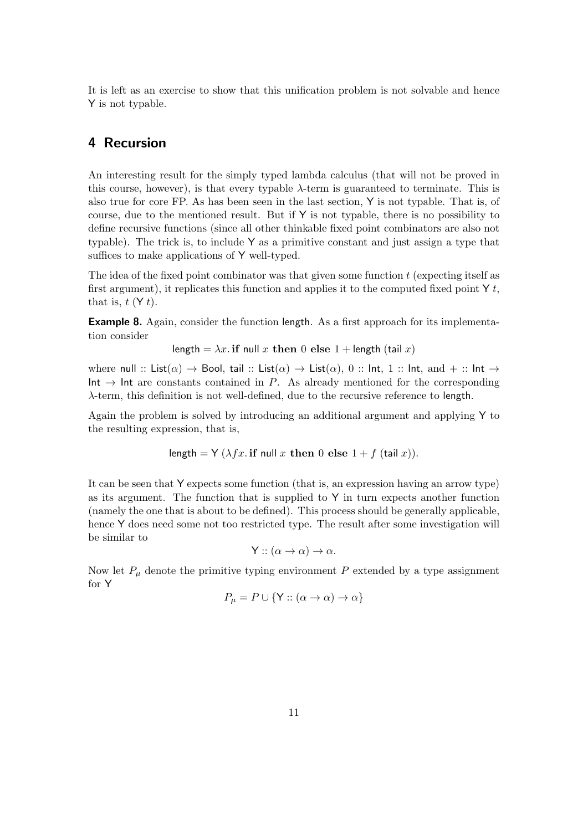It is left as an exercise to show that this unification problem is not solvable and hence Y is not typable.

### 4 Recursion

An interesting result for the simply typed lambda calculus (that will not be proved in this course, however), is that every typable  $\lambda$ -term is guaranteed to terminate. This is also true for core FP. As has been seen in the last section, Y is not typable. That is, of course, due to the mentioned result. But if  $Y$  is not typable, there is no possibility to define recursive functions (since all other thinkable fixed point combinators are also not typable). The trick is, to include Y as a primitive constant and just assign a type that suffices to make applications of Y well-typed.

The idea of the fixed point combinator was that given some function  $t$  (expecting itself as first argument), it replicates this function and applies it to the computed fixed point  $Y t$ , that is,  $t(Y_t)$ .

Example 8. Again, consider the function length. As a first approach for its implementation consider

length =  $\lambda x$ . if null x then 0 else 1 + length (tail x)

where null :: List( $\alpha$ )  $\rightarrow$  Bool, tail :: List( $\alpha$ )  $\rightarrow$  List( $\alpha$ ), 0 :: Int, 1 :: Int, and + :: Int  $\rightarrow$  $Int \rightarrow Int$  are constants contained in P. As already mentioned for the corresponding λ-term, this definition is not well-defined, due to the recursive reference to length.

Again the problem is solved by introducing an additional argument and applying Y to the resulting expression, that is,

length = Y (
$$
\lambda fx
$$
. if null x then 0 else 1 + f (tail x)).

It can be seen that Y expects some function (that is, an expression having an arrow type) as its argument. The function that is supplied to  $Y$  in turn expects another function (namely the one that is about to be defined). This process should be generally applicable, hence Y does need some not too restricted type. The result after some investigation will be similar to

$$
Y :: (\alpha \to \alpha) \to \alpha.
$$

Now let  $P_{\mu}$  denote the primitive typing environment P extended by a type assignment for Y

$$
P_{\mu} = P \cup \{ Y :: (\alpha \to \alpha) \to \alpha \}
$$